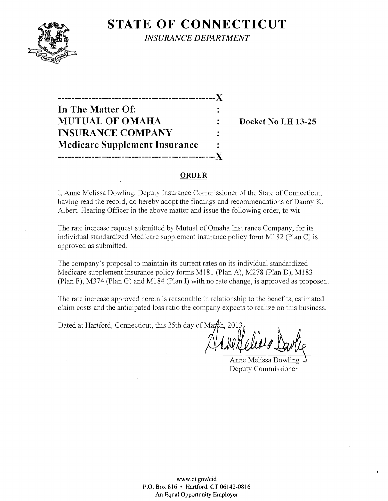## **STATE OF CONNECTICUT**



*INSURANCE DEPARTMENT* 

---------------------------------~-------------)( **In The Matter Of: MUTUAL OF OMAHA :** Docket No LH 13-25 **INSURANCE COMPANY Medicare Supplement Insurance -----------------------------------------------)(** 

#### **ORDER**

I, Anne Melissa Dowling, Deputy Insurance Commissioner of the State of Connecticut, having read the record, do hereby adopt the findings and recommendations of Danny K. Albert, Hearing Officer in the above matter and issue the following order, to wit:

The rate increase request submitted by Mutual of Omaha Insurance Company, for its individual standardized Medicare supplement insurance policy form M182 (Plan C) is approved as submitted.

The company's proposal to maintain its current rates on its individual standardized Medicare supplement insurance policy forms M181 (Plan A), M278 (Plan D), M183 (Plan F), M374 (Plan G) and M184 (Plan I) with no rate change, is approved as proposed.

The rate increase approved herein is reasonable in relationship to the benefits, estimated claim costs and the anticipated loss ratio the company expects to realize on this business.

Dated at Hartford, Connecticut, this 25th day of March, 2013

Anne Melissa Dowling Deputy Commissioner

**www.ct.gov/cid P.O. Box 816 • Hartford, CT 06142-0816 An Equal Opportunity Employer**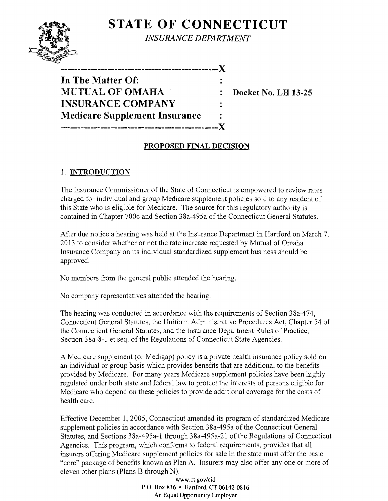# **STATE OF CONNECTICUT**



*INSURANCE DEPARTMENT* 

| In The Matter Of:                    |  |
|--------------------------------------|--|
| <b>MUTUAL OF OMAHA</b>               |  |
| <b>INSURANCE COMPANY</b>             |  |
| <b>Medicare Supplement Insurance</b> |  |
| ------------------------             |  |

 $\overline{A}$ 

*r***. Docket No. LH 13-25** 

#### **PROPOSED FINAL DECISION**

### 1. **INTRODUCTION**

The Insurance Commissioner of the State of Connecticut is empowered to review rates charged for individual and group Medicare supplement policies sold to any resident of this State who is eligible for Medicare. The source for this regulatory authority is contained in Chapter 700c and Section 38a-495a of the Connecticut General Statutes.

After due notice a hearing was held at the Insurance Department in Hartford on March 7, 2013 to consider whether or not the rate increase requested by Mutual of Omaha Insurance Company on its individual standardized supplement business should be approved.

No members from the general public attended the hearing.

No company representatives attended the hearing.

The hearing was conducted in accordance with the requirements of Section 38a-474, Connecticut General Statutes, the Uniform Administrative Procedures Act, Chapter 54 of the Connecticut General Statutes, and the Insurance Department Rules of Practice, Section 38a-8-1 et seq. of the Regulations of Connecticut State Agencies.

A Medicare supplement (or Medigap) policy is a private health insurance policy sold on an individual or group basis which provides benefits that are additional to the benefits provided by Medicare. For many years Medicare supplement policies have been highly regulated under both state and federal law to protect the interests of persons eligible for Medicare who depend on these policies to provide additional coverage for the costs of health care.

Effective December 1,2005, Connecticut amended its program of standardized Medicare supplement policies in accordance with Section 38a-495a of the Connecticut General Statutes, and Sections 38a-495a-1 through 38a-495a-21 of the Regulations of Connecticut Agencies. This program, which conforms to federal requirements, provides that all insurers offering Medicare supplement policies for sale in the state must offer the basic "core" package of benefits known as Plan A. Insurers may also offer anyone or more of eleven other plans (Plans B through N).

www.ct.gov/cid P.O. Box 816 • Hartford, CT06142-0816 An Equal Opportunity Employer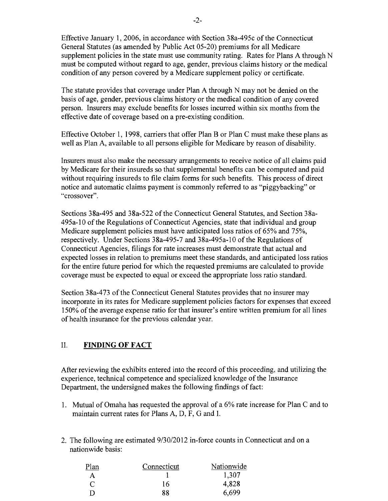Effective January 1,2006, in accordance with Section 38a-495c ofthe Connecticut General Statutes (as amended by Public Act 05-20) premiums for all Medicare supplement policies in the state must use community rating. Rates for Plans A through N must be computed without regard to age, gender, previous claims history or the medical condition of any person covered by a Medicare supplement policy or certificate.

The statute provides that coverage under Plan A through N may not be denied on the basis of age, gender, previous claims history or the medical condition of any covered person. Insurers may exclude benefits for losses incurred within six months from the effective date of coverage based on a pre-existing condition.

Effective October 1, 1998, carriers that offer Plan B or Plan C must make these plans as well as Plan A, available to all persons eligible for Medicare by reason of disability.

Insurers must also make the necessary arrangements to receive notice of all claims paid by Medicare for their insureds so that supplemental benefits can be computed and paid without requiring insureds to file claim forms for such benefits. This process of direct notice and automatic claims payment is commonly referred to as "piggybacking" or "crossover".

Sections 38a-495 and 38a-522 of the Connecticut General Statutes, and Section 38a-495a-l0 of the Regulations of Connecticut Agencies, state that individual and group Medicare supplement policies must have anticipated loss ratios of 65% and 75%, respectively. Under Sections 38a-495-7 and 38a-495a-l 0 of the Regulations of Connecticut Agencies, filings for rate increases must demonstrate that actual and expected losses in relation to premiums meet these standards, and anticipated loss ratios for the entire future period for which the requested premiums are calculated to provide coverage must be expected to equal or exceed the appropriate loss ratio standard.

Section 38a-473 of the Connecticut General Statutes provides that no insurer may incorporate in its rates for Medicare supplement policies factors for expenses that exceed 150% of the average expense ratio for that insurer's entire written premium for all lines of health insurance for the previous calendar year.

### II. **FINDING OF FACT**

After reviewing the exhibits entered into the record of this proceeding, and utilizing the experience, technical competence and specialized knowledge of the Insurance Department, the undersigned makes the following findings of fact:

- 1. Mutual of Omaha has requested the approval of a 6% rate increase for Plan C and to maintain current rates for Plans A, D, F, G and I.
- 2. The following are estimated  $9/30/2012$  in-force counts in Connecticut and on a nationwide basis:

| Plan         | Connecticut | Nationwide |
|--------------|-------------|------------|
| $\mathbf{A}$ |             | 1,307      |
| C            | 16          | 4,828      |
| Ð            | 88          | 6,699      |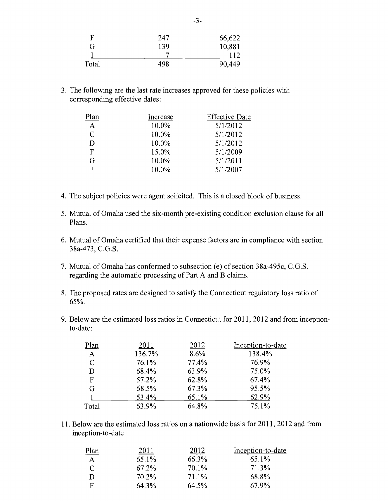| F     | 247 | 66,622 |
|-------|-----|--------|
| G     | 139 | 10,881 |
|       |     | 112    |
| Total | 498 | 90,449 |

3. The following are the last rate increases approved for these policies with corresponding effective dates:

| Plan          | Increase | <b>Effective Date</b> |
|---------------|----------|-----------------------|
| A             | 10.0%    | 5/1/2012              |
| $\mathcal{C}$ | 10.0%    | 5/1/2012              |
| D             | 10.0%    | 5/1/2012              |
| F             | 15.0%    | 5/1/2009              |
| G             | 10.0%    | 5/1/2011              |
|               | 10.0%    | 5/1/2007              |

- 4. The subject policies were agent solicited. This is a closed block of business.
- 5. Mutual of Omaha used the six-month pre-existing condition exclusion clause for all Plans.
- 6. Mutual of Omaha certified that their expense factors are in compliance with section 38a-473, C.G.S.
- 7. Mutual of Omaha has conformed to subsection (e) of section 38a-495c, C.G.S. regarding the automatic processing of Part A and B claims.
- 8. The proposed rates are designed to satisfy the Connecticut regulatory loss ratio of 65%.
- 9. Below are the estimated loss ratios in Connecticut for 2011, 2012 and from inceptionto-date:

| Plan         | 2011   | 2012  | Inception-to-date |
|--------------|--------|-------|-------------------|
| $\mathbf{A}$ | 136.7% | 8.6%  | 138.4%            |
| C            | 76.1%  | 77.4% | 76.9%             |
| D            | 68.4%  | 63.9% | 75.0%             |
| F            | 57.2%  | 62.8% | 67.4%             |
| G            | 68.5%  | 67.3% | 95.5%             |
|              | 53.4%  | 65.1% | 62.9%             |
| Total        | 63.9%  | 64.8% | 75.1%             |

11. Below are the estimated loss ratios on a nationwide basis for 2011,2012 and from inception-to-date:

| Plan | 2011  | 2012  | Inception-to-date |
|------|-------|-------|-------------------|
| A    | 65.1% | 66.3% | 65.1%             |
| C    | 67.2% | 70.1% | 71.3%             |
| D    | 70.2% | 71.1% | 68.8%             |
| F    | 64.3% | 64.5% | 67.9%             |